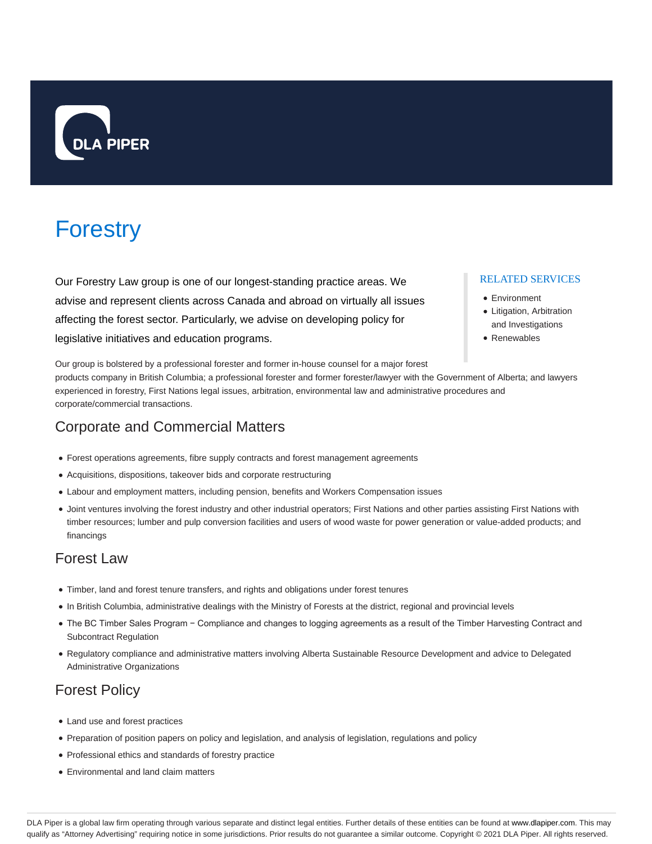

# **Forestry**

Our Forestry Law group is one of our longest-standing practice areas. We advise and represent clients across Canada and abroad on virtually all issues affecting the forest sector. Particularly, we advise on developing policy for legislative initiatives and education programs.

## RELATED SERVICES

- Environment
- Litigation, Arbitration and Investigations
- Renewables

Our group is bolstered by a professional forester and former in-house counsel for a major forest

products company in British Columbia; a professional forester and former forester/lawyer with the Government of Alberta; and lawyers experienced in forestry, First Nations legal issues, arbitration, environmental law and administrative procedures and corporate/commercial transactions.

# Corporate and Commercial Matters

- Forest operations agreements, fibre supply contracts and forest management agreements
- Acquisitions, dispositions, takeover bids and corporate restructuring
- Labour and employment matters, including pension, benefits and Workers Compensation issues
- Joint ventures involving the forest industry and other industrial operators; First Nations and other parties assisting First Nations with timber resources; lumber and pulp conversion facilities and users of wood waste for power generation or value-added products; and financings

# Forest Law

- Timber, land and forest tenure transfers, and rights and obligations under forest tenures
- In British Columbia, administrative dealings with the Ministry of Forests at the district, regional and provincial levels
- The BC Timber Sales Program − Compliance and changes to logging agreements as a result of the Timber Harvesting Contract and Subcontract Regulation
- Regulatory compliance and administrative matters involving Alberta Sustainable Resource Development and advice to Delegated Administrative Organizations

# Forest Policy

- Land use and forest practices
- Preparation of position papers on policy and legislation, and analysis of legislation, regulations and policy
- Professional ethics and standards of forestry practice
- Environmental and land claim matters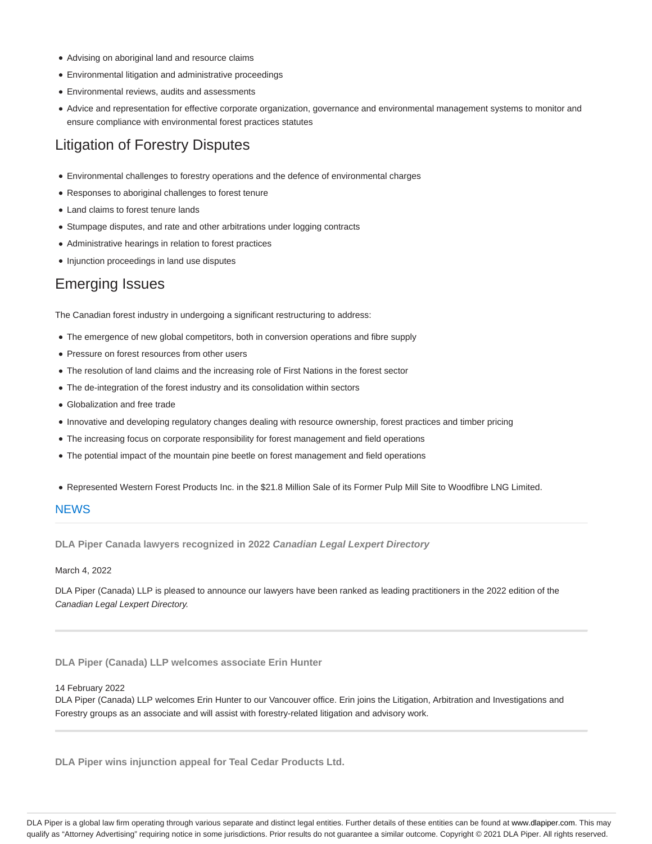- Advising on aboriginal land and resource claims
- Environmental litigation and administrative proceedings
- Environmental reviews, audits and assessments
- Advice and representation for effective corporate organization, governance and environmental management systems to monitor and ensure compliance with environmental forest practices statutes

# Litigation of Forestry Disputes

- Environmental challenges to forestry operations and the defence of environmental charges
- Responses to aboriginal challenges to forest tenure
- Land claims to forest tenure lands
- Stumpage disputes, and rate and other arbitrations under logging contracts
- Administrative hearings in relation to forest practices
- Injunction proceedings in land use disputes

## Emerging Issues

The Canadian forest industry in undergoing a significant restructuring to address:

- The emergence of new global competitors, both in conversion operations and fibre supply
- Pressure on forest resources from other users
- The resolution of land claims and the increasing role of First Nations in the forest sector
- The de-integration of the forest industry and its consolidation within sectors
- Globalization and free trade
- Innovative and developing regulatory changes dealing with resource ownership, forest practices and timber pricing
- The increasing focus on corporate responsibility for forest management and field operations
- The potential impact of the mountain pine beetle on forest management and field operations
- Represented Western Forest Products Inc. in the \$21.8 Million Sale of its Former Pulp Mill Site to Woodfibre LNG Limited.

## **NEWS**

**DLA Piper Canada lawyers recognized in 2022 Canadian Legal Lexpert Directory**

March 4, 2022

DLA Piper (Canada) LLP is pleased to announce our lawyers have been ranked as leading practitioners in the 2022 edition of the Canadian Legal Lexpert Directory.

**DLA Piper (Canada) LLP welcomes associate Erin Hunter**

#### 14 February 2022

DLA Piper (Canada) LLP welcomes Erin Hunter to our Vancouver office. Erin joins the Litigation, Arbitration and Investigations and Forestry groups as an associate and will assist with forestry-related litigation and advisory work.

**DLA Piper wins injunction appeal for Teal Cedar Products Ltd.**

DLA Piper is a global law firm operating through various separate and distinct legal entities. Further details of these entities can be found at www.dlapiper.com. This may qualify as "Attorney Advertising" requiring notice in some jurisdictions. Prior results do not guarantee a similar outcome. Copyright © 2021 DLA Piper. All rights reserved.